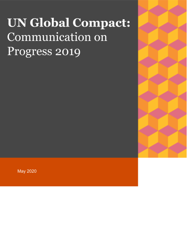# **UN Global Compact:** Communication on Progress 2019

**May 2020**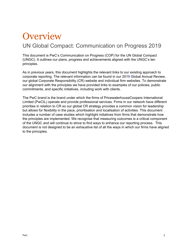## **Overview** UN Global Compact: Communication on Progress 2019

This document is PwC's Communication on Progress (COP) for the UN Global Compact (UNGC). It outlines our plans, progress and achievements aligned with the UNGC's ten principles.

As in previous years, this document highlights the relevant links to our existing approach to corporate reporting. The relevant information can be found in our [2019](https://www.pwc.com/gx/en/about/global-annual-review-2018.html) Global Annual [Review,](https://www.pwc.com/gx/en/about/global-annual-review-2018.html) our global Corporate [Responsibility](http://www.pwc.com/gx/en/about/corporate-responsibility.html) (CR) website and [individual](http://www.pwc.com/gx/en/site-information/site-index.html) firm websites. To demonstrate our alignment with the principles we have provided links to examples of our policies, public commitments, and specific initiatives, including work with clients.

The PwC brand is the brand under which the firms of PricewaterhouseCoopers International Limited (PwCIL) operate and provide professional services. Firms in our network have different priorities in relation to CR so our global CR strategy provides a common vision for leadership but allows for flexibility in the pace, prioritisation and localisation of activities. This document includes a number of case studies which highlight initiatives from firms that demonstrate how the principles are implemented. We recognise that measuring outcomes is a critical component of the UNGC and will continue to strive to find ways to enhance our reporting process. This document is not designed to be an exhaustive list of all the ways in which our firms have aligned to the principles.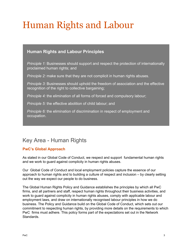## Human Rights and Labour

### **Human Rights and Labour Principles**

*Principle 1:* Businesses should support and respect the protection of internationally proclaimed human rights; and

*Principle 2:* make sure that they are not complicit in human rights abuses.

*Principle 3:* Businesses should uphold the freedom of association and the effective recognition of the right to collective bargaining;

*Principle 4:* the elimination of all forms of forced and compulsory labour;

*Principle 5:* the effective abolition of child labour; and

*Principle 6:* the elimination of discrimination in respect of employment and occupation.

## Key Area - Human Rights

#### **PwC's Global Approach**

As stated in our Global Code of Conduct, we respect and support fundamental human rights and we work to guard against complicity in human rights abuses.

Our Global Code of Conduct and local employment policies capture the essence of our approach to human rights and to building a culture of respect and inclusion – by clearly setting out the way we expect our people to do business.

The Global Human Rights Policy and Guidance establishes the principles by which all PwC firms, and all partners and staff, respect human rights throughout their business activities, and work to guard against complicity in human rights abuses, comply with applicable labour and employment laws, and draw on internationally recognised labour principles in how we do business. The Policy and Guidance build on the Global Code of Conduct, which sets out our commitment to respecting human rights, by providing more details on the requirements to which PwC firms must adhere. This policy forms part of the expectations set out in the Network Standards.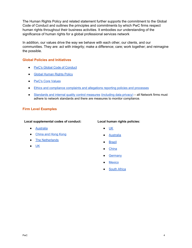The Human Rights Policy and related statement further supports the commitment to the Global Code of Conduct and outlines the principles and commitments by which PwC firms respect human rights throughout their business activities. It embodies our understanding of the significance of human rights for a global professional services network

In addition, our values drive the way we behave with each other, our clients, and our communities. They are: act with integrity; make a difference; care; work together; and reimagine the possible.

#### **Global Policies and Initiatives**

- PwC's Global Code of [Conduct](https://www.pwc.com/gx/en/about/ethics-business-conduct/code-of-conduct.html)
- Global [Human](https://www.pwc.com/gx/en/about/human-rights-statement.html) Rights Policy
- PwC's Core [Values](https://www.pwc.com/gx/en/about/purpose-and-values.html)
- Ethics and [compliance](http://www.pwc.com/gx/en/ethics-business-conduct/global-ethics-contact-us.jhtml) complaints and allegations reporting policies and processes
- [Standards](https://www.pwc.com/gx/en/about/global-annual-review-2018/organisation-and-structure.html) and internal quality control measures ([including](https://www.pwc.com/gx/en/legal-notices/pwc-privacy-statement.html) data privacy[\)](http://www.pwc.com/gx/en/global-annual-review/committed-to-transparency.jhtml) all Network firms must adhere to network standards and there are measures to monitor compliance.

#### **Firm Level Examples**

#### **Local supplemental codes of conduct:**

- [Australia](http://www.pwc.com.au/about-us/code-of-conduct.htm)
- [China](http://www.pwchk.com/home/eng/code_of_conduct.html) and Hong Kong
- The [Netherlands](https://www.pwc.nl/en/onze-organisatie/code-of-conduct.html)
- [UK](http://www.pwc.co.uk/who-we-are/code-of-conduct.html)

#### **Local human rights policies:**

- [UK](https://www.pwc.co.uk/who-we-are/corporate-sustainability/responsible-business/human-rights-and-modern-slavery.html)
- **[Australia](https://www.pwc.com.au/about-us/social-impact/pwc-australia-human-rights-policy-aug2018.pdf)**
- [Brazil](https://www.pwc.com.br/pt/quem-somos/codigo-conduta.html)
- [China](https://www.pwccn.com/en/about-us/human-rights-statement.html)
- [Germany](https://www.pwc.de/de/ueber-uns/menschenrechtserklaerung-unsere-positionierung.html)
- **[Mexico](https://www.pwc.com/mx/es/acerca-nosotros/declaracion-global-derechos-humanos.html)**
- **[South](https://www.pwc.co.za/en/about-us/human-rights-statement.html) Africa**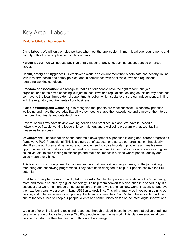## Key Area - Labour

#### **PwC's Global Approach**

**Child labour**: We will only employ workers who meet the applicable minimum legal age requirements and comply with all other applicable child labour laws.

**Forced labour:** We will not use any involuntary labour of any kind, such as prison, bonded or forced labour.

**Health, safety and hygiene:** Our employees work in an environment that is both safe and healthy, in line with local firm health and safety policies, and in compliance with applicable laws and regulations regarding working conditions.

**Freedom of association:** We recognise that all of our people have the right to form and join organisations of their own choosing, subject to local laws and regulations, as long as this activity does not contravene the local firm's external appointments policy, which seeks to ensure our independence, in line with the regulatory requirements of our business.

**Flexible Working and wellbeing:** We recognise that people are most successful when they prioritise wellbeing and have the everyday flexibility they need to shape their experience and empower them to be their best both inside and outside of work.

Several of our firms have flexible working policies and practices in place. We have launched a network-wide flexible working leadership commitment and a wellbeing program with accountability measures for success

**Development:** The foundation of our leadership development experience is our global career progression framework, PwC Professional. This is a single set of expectations across our organisation that clearly identifies the attributes and behaviours our people need to solve important problems and realise new opportunities. Opportunities are at the heart of a career with us. Opportunities for our employees to grow as individuals, to build lasting relationships and make an impact in a place where people, quality and value mean everything.

This framework is underpinned by national and international training programmes, on the job training, mentoring and shadowing programmes. They have been designed to help our people achieve their full potential.

**Enable our people to develop a digital mind-set** - Our clients operate in a landscape that's becoming more and more disrupted by digital technology. To help them convert this disruption into opportunity, it's essential that we remain ahead of the digital curve. In 2019 we launched New world. New Skills. and over the next four years, we are committing US\$3bn to upskilling. This will primarily be invested in training our people, and in technologies for supporting clients and communities. Our Digital Fitness solution will be one of the tools used to keep our people, clients and communities on top of the latest digital innovations.

We also offer online learning tools and resources through a cloud-based innovation that delivers training on a wide range of topics to our over 276,000 people across the network. This platform enables all our people to customise their learning for both content and usage.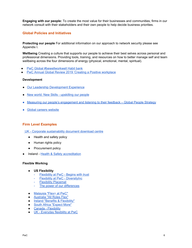**Engaging with our people:** To create the most value for their businesses and communities, firms in our network consult with their stakeholders and their own people to help decide business priorities.

#### **Global Policies and Initiatives**

**Protecting our people** For additional information on our approach to network security please see Appendix I.

**Wellbeing** Creating a culture that supports our people to achieve their best selves across personal and professional dimensions. Providing tools, training, and resources on how to better manage self and team wellbeing across the four dimensions of energy (physical, emotional, mental, spiritual).

- PwC Global [#bewellworkwell](https://habitbank.pwc.com/#tab=1) Habit bank
- PwC Annual Global Review 2019 'Creating a Positive [workplace](https://www.pwc.com/gx/en/about/global-annual-review-2019/people.html)

#### **Development**

- Our Leadership [Development](https://www.pwc.com/us/en/about-us/pwc-professional-development.html) Experience
- New world. New Skills [upskilling](https://www.pwc.com/gx/en/about/global-annual-review-2019/upskilling.html) our people
- Measuring our people's [engagement](https://www.pwc.com/gx/en/about/global-annual-review-2018/people.html) and listening to their feedback Global People Strategy
- **Global careers [website](http://www.pwc.com/gx/en/careers.html)**

#### **Firm Level Examples**

UK - Corporate [sustainability](http://www.pwc.co.uk/who-we-are/corporate-sustainability/downloads.html) document download centre

- Health and safety policy
- Human rights policy
- Procurement policy
- **Ireland Health & Safety [accreditation](https://www.pwc.ie/media-centre/press-release/2018/pwc-awarded-international-accreditations.html)**

#### **Flexible Working**

- **US Flexibility**
	- [Flexibility](https://www.youtube.com/watch?v=AV8TFO1DR90) at PwC Begins with trust
	- Flexibility at PwC [DiversityInc](https://www.youtube.com/watch?v=2bmtGMEas9c&sns=em)
	- Flexibility [Placemat](https://www.pwc.com/us/en/people-management/assets/pwc-flexibility-placemat-external.pdf)
	- The power of our [differences](https://www.youtube.com/watch?v=AdAodwsWBGs)
- [Malaysia](https://www.youtube.com/watch?v=bgXz8-MbyZY&feature=youtu.be) "Flex+ at PwC"
- [Australia](https://www.pwc.com.au/pdf/127031437_all-roles-flex_v9.pdf) "All Roles Flex"
- Ireland "Benefits & [Flexibility"](https://www.pwc.ie/careers-ie/pwc-careers-benefits-and-flexibility.html)
- South Africa ["Expect](https://www.pwc.co.za/en/careers/experienced-professionals/experienced-professionals-expect-more.html) More"
- Canada [Flexibility](https://www.youtube.com/watch?v=AHRC11euKso)
- UK [Everyday](https://www.youtube.com/watch?v=60X-GiOZdlw) flexibility at PwC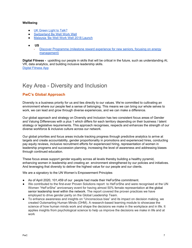#### **Wellbeing**

- UK [Green](https://www.pwc.co.uk/who-we-are/annual-report/stories/green-light-to-talk.html) Light to Talk?
- **[Switzerland](https://www.youtube.com/watch?v=BMNff072Psk) Be Well Work Well**
- [Malaysia](https://www.youtube.com/watch?v=tMR5SG2Re2A) 'Be Well Work Well 2018 Launch
- **US**
	- Discover [Programme](https://www.pwc.com/us/en/careers/why-pwc/discover.html) (milestone reward experience for new seniors, focusing on energy [management\)](https://www.pwc.com/us/en/careers/why-pwc/discover.html)

**Digital Fitness -** upskilling our people in skills that will be critical in the future, such as understanding AI, VR, data analytics, and building inclusive leadership skills. Digital [Fitness](https://digital.pwc.com/en/products/digital-fitness.html) App

## Key Area - Diversity and Inclusion

#### **PwC's Global Approach**

Diversity is a business priority for us and ties directly to our values. We're committed to cultivating an environment where our people feel a sense of belonging. This means we can bring our whole selves to work, we can lead and grow through diverse experiences, and we can make a difference.

Our global approach and strategy on Diversity and Inclusion has two consistent focus areas of Gender and Valuing Differences with a plus 1 which differs for each territory depending on their business / talent strategy or legislative requirements. This approach recognises, respects and enhances the strength of our diverse workforce & inclusive culture across our network.

Our global priorities and focus areas include tracking progress through predictive analytics to arrive at targets and create accountability, gender proportionality in promotions and experienced hires, conducting pay equity reviews, inclusive recruitment efforts for experienced hiring, representation of women in leadership programs and succession planning, increasing the level of awareness and addressing biases through continued education.

These focus areas support gender equality across all levels thereby building a healthy pyramid, enhancing women in leadership and creating an environment strengthened by our policies and initiatives. And leveraging that diversity to deliver the highest value for our people and our clients.

We are a signatory to the UN Women's Empowerment Principles

- As of April 2020, 101,459 of our people had made their HeForShe commitment.
- We cont[r](http://online.fliphtml5.com/zmam/hknp/)ibuted to the first-ever Proven Solutions report to HeForShe and were recognised at the UN Women "HeForShe" anniversary event for having almost 50% female representation at the global senior leadership level within the network. The report covered the proven practices we have employed to drive gender parity on the Global Leadership Team.
- To enhance awareness and insights on "Unconscious bias" and its impact on decision making, we created Outsmarting Human Minds (OHM). A research-based learning module to showcase the science of how human minds work and shape the decisions we make in the workplace and in life. It applies insights from psychological science to help us improve the decisions we make in life and at work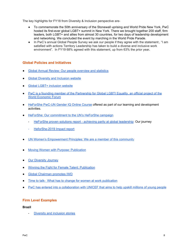The key highlights for FY18 from Diversity & Inclusion perspective are-

- To commemorate the 50th anniversary of the Stonewall uprising and World Pride New York, PwC hosted its first-ever global LGBT+ summit in New York. There we brought together 200 staff, firm leaders, both LGBT+ and allies from almost 30 countries, for two days of leadership development and networking. We concluded the event by marching in the World Pride Parade.
- In PwC's annual Global People Survey we ask our people if they agree with the statement:, "I am satisfied with actions Territory Leadership has taken to build a diverse and inclusive work environment". In FY19 68% agreed with this statement, up from 63% the prior year**.**

#### **Global Policies and Initiatives**

- Global Annual Review: Our people [overview](https://www.pwc.com/gx/en/about/global-annual-review-2018.html) and [s](https://www.pwc.com/gx/en/about/global-annual-review-2016.html)tatistics
- **Global Diversity and [Inclusion](https://www.pwc.com/inclusion) website**
- Global LGBT+ [inclusion](http://www.pwc.com/lgbt) website
- PwC is a founding member of the [Partnership](https://www.global-lgbti.org/) for Global LGBTI Equality, an official project of the World [Economic](https://www.global-lgbti.org/) Forum
- **●** [HeForShe](https://agora.unicef.org/course/info.php?id=7107) PwC-UN Gender IQ Online Course offered as part of our learning and development activities.
- HeForShe: Our [commitment](https://heforshe.pwc.com/welcome) to the UN's HeForShe campaign
	- HeForShe proven solutions report achieving parity at global [leadership:](https://www.heforshe.org/sites/default/files/2018-11/HeForShe%20Proven%20Solutions%20Report.pdf) Our journey
	- [HeforShe-2019](https://www.heforshe.org/sites/default/files/2019-09/HeForShe%202019%20IMPACT%20Report_Full.pdf) Impact report
- UN Women's [Empowerment](http://weprinciples.org/) Principles: We are a member of this community
- **Moving Women with Purpose: [Publication](https://www.pwc.com/gx/en/about/diversity/internationalwomensday/moving-women-with-purpose.html)**
- **Our [Diversity](https://www.pwc.com/gx/en/about/diversity/global-diversity-week.html) Journey**
- [Winning](http://www.pwc.com/femaletalent) the Fight for Female Talent: Publication
- Global [Chairman](https://www.linkedin.com/posts/robertemoritz_eachforequal-iwd2020-newworldnewskills-activity-6642410476221325313-fsJ8) promotes IWD
- Time to talk- What has to change for women at work [publication](https://www.pwc.com/gx/en/about/diversity/internationalwomensday/time-to-talk-what-has-to-change-for-women-at-work.html)
- PwC has entered into a [collaboration](https://www.pwc.com/gx/en/issues/upskilling/upskilling-the-worlds-youth.html) with UNICEF that aims to help upskill millions of young people

#### **Firm Level Examples**

#### **Brazil**

Diversity and [inclusion](https://www.pwc.com/gx/en/about/stories-from-across-the-world/creating-a-disability-inclusive-workplace-in-brazil.html) stories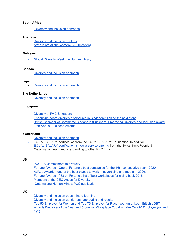#### **[South](http://www.pwc.co.za/en/about-us/diversity-and-inclusion.jhtml) Africa**

Diversity and inclusion [approach](http://www.pwc.co.za/en/about-us/diversity-and-inclusion.jhtml)

#### **Australia**

- Diversity and [inclusion](http://www.pwc.com.au/about-us/diversity-and-inclusion.html) strategy
- "Where are all the [women?"](https://www.pwc.com.au/publications/pdf/where-are-all-the-women-aug18.pdf) (Publicat[ion](https://www.pwc.com.au/publications/pdf/where-are-all-the-women-aug18.pdf)[\)](http://www.pwc.com.au/about-us/diversity-and-inclusion.html)

#### **Malaysia**

- Global [Diversity](https://www.pwc.com/gx/en/about/stories-from-across-the-world/where-the-books-are-people-pwc-malaysia-hosts-human-library-event.html) Week the Human Librar[y](https://www.pwc.com/gx/en/about/stories-from-across-the-world/where-the-books-are-people-pwc-malaysia-hosts-human-library-event.html)

#### **[Canada](https://www.pwc.com/ca/en/about-us/diversity-inclusion.html)**

- Diversity and inclusion [approach](https://www.pwc.com/ca/en/about-us/diversity-inclusion.html)

#### **[Japan](https://www.pwc.com/jp/ja/about-us/diversity-and-inclusion.html)**

- Diversity and inclusion [approach](https://www.pwc.com/jp/ja/about-us/diversity-and-inclusion.html)

#### **The [Netherlands](https://www.pwc.nl/nl/onze-organisatie/diversiteit.html)**

Diversity and inclusion [approach](https://www.pwc.nl/nl/onze-organisatie/diversiteit.html)

#### **Singapore**

- Diversity at PwC [Singapore](https://www.pwc.com/sg/en/about-us/diversity.html)
- Enhancing board diversity [disclosures](https://www.pwc.com/sg/en/publications/board-diversity-disclosures-enhance.html) in Singapore: Taking the next steps
- British Chamber of [Commerce](https://www.pwc.com/sg/en/about-us/sg_award.html) Singapore (BritCham) Embracing Diversity and Inclusion award 18th Annual [Business](https://www.pwc.com/sg/en/about-us/sg_award.html) Awards

#### **[Switzerland](https://www.pwc.ch/en/careers-with-pwc/inclusion-diversity.html)**

- Diversity and inclusion [approach](https://www.pwc.ch/en/careers-with-pwc/inclusion-diversity.html)
- **-** EQUAL-SALARY certification from the EQUAL-SALARY Foundation. In addition, [EQUAL-SALARY](https://www.pwc.ch/en/services/people-organisation/equal-salary-certification.html) certification is now a service offering from the Swiss firm's People & Organisation team and is expanding to other PwC firms.

#### **US**

- PwC US' [commitment](http://www.pwc.com/us/en/about-us/diversity/pwc-diversity-commitment.jhtml) to diversity
- Fortune Awards One of Fortune's best companies for the 16th [consecutive](https://www.pwc.com/us/en/about-us/pwc-awards.html) year 2020
- AdAge Awards one of the best places to work in [advertising](https://www.pwc.com/us/en/about-us/pwc-awards.html) and media in 2020.
- Fortune Awards #38 on Fortune's list of best [workplaces](https://www.pwc.com/us/en/about-us/pwc-awards.html) for giving back 2018
- [Members](https://www.ceoaction.com/) of the CEO Action for Diversity
- [Outsmarting](https://www.pwc.com/us/en/about-us/outsmarting-human-minds.html) Human Minds: PwC publication

#### **UK**

- Diversity and inclusion open mind [e-learning](http://www.pwc.co.uk/who-we-are/corporate-sustainability/encouraging-diversity.html)
- Diversity and [inclusion](https://www.pwc.co.uk/who-we-are/our-purpose/empowered-people-communities/inclusion/diversity-pay-report.html) gender pay gap audits and results
- Top 50 Employer for Women and Top 75 Employer for Race (both [unranked\).](https://www.pwc.co.uk/who-we-are/annual-report/leading-in-changing-times/our-awards-benchmarks.html) British LGBT Awards Employer of the Year and Stonewall [Workplace](https://www.pwc.co.uk/who-we-are/annual-report/leading-in-changing-times/our-awards-benchmarks.html) Equality Index Top 20 Employer (ranked <u>[19](https://www.pwc.co.uk/who-we-are/annual-report/leading-in-changing-times/our-awards-benchmarks.html)<sup>[th](https://www.pwc.co.uk/who-we-are/annual-report/leading-in-changing-times/our-awards-benchmarks.html)</sup></u>[\)](https://www.pwc.co.uk/who-we-are/annual-report/leading-in-changing-times/our-awards-benchmarks.html)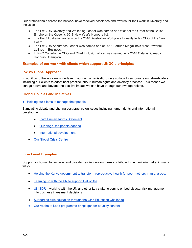Our professionals across the network have received accolades and awards for their work in Diversity and Inclusion-

- The PwC UK Diversity and Wellbeing Leader was named an Officer of the Order of the British Empire on the Queen's 2018 New Year's Honours list.
- The PwC Australia Leader won the 2018 Australian Workplace Equality Index CEO of the Year award.
- The PwC US Assurance Leader was named one of 2018 Fortune Magazine's Most Powerful Latinas in Business.
- In PwC Canada the CEO and Chief Inclusion officer was named as a 2018 Catalyst Canada Honours Champion.

#### **Examples of our work with clients which support UNGC's principles**

#### **PwC's Global Approach**

In addition to the work we undertake in our own organisation, we also look to encourage our stakeholders including our clients to adopt best practice labour, human rights and diversity practices. This means we can go above and beyond the positive impact we can have through our own operations.

#### **Global Policies and Initiatives**

Helping our clients to [manage](http://www.pwc.com/gx/en/hr-management-services/index.jhtml) their people

Stimulating debate and sharing best practice on issues including human rights and international development

- **●** PwC Human Rights [Statement](https://www.pwc.com/gx/en/about/human-rights-statement.html)
- **●** Our blogs- the people [agenda](http://pwc.blogs.com/the_people_agenda/)
- **●** International [development](https://www.pwc.com/gx/en/industries/government-public-services/international-development-assistance.html)
- **Our Global Crisis [Centre](https://www.pwc.com/gx/en/issues/crisis-solutions.html)**

#### **Firm Level Examples**

Support for humanitarian relief and disaster resilience – our firms contribute to humanitarian relief in many ways:

- Helping the Kenya government to transform [reproductive](https://www.pwc.com/gx/en/about/corporate-responsibility/our-stories/helping-the-kenya-government.html) health for poor mothers in rural areas.
- Teaming up with the UN to support [HeForShe](https://www.pwc.com/gx/en/about/diversity/he-for-she-make-your-commitment.html)
- $UNISDR working with the UN and other key stakeholders to embed disaster risk management$  $UNISDR working with the UN and other key stakeholders to embed disaster risk management$ into business investment decisions
- [Supporting](https://www.pwc.com/gx/en/about/corporate-responsibility/our-stories/improving-the-lives.html) girls education through the Girls Education Challenge
- Our Aspire to Lead [programme](https://www.youtube.com/watch?v=hgzqcbfTppM) brings gender equality content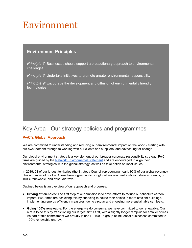## Environment

#### **Environment Principles**

*Principle 7:* Businesses should support a precautionary approach to environmental challenges.

*Principle 8:* Undertake initiatives to promote greater environmental responsibility.

*Principle 9:* Encourage the development and diffusion of environmentally friendly technologies.

## Key Area - Our strategy policies and programmes

#### **PwC's Global Approach**

We are committed to understanding and reducing our environmental impact on the world - starting with our own footprint through to working with our clients and suppliers, and advocating for change.

Our global environment strategy is a key element of our broader corporate responsibility strategy. PwC firms are guided by the Network [Environmental](https://www.pwc.com/gx/en/corporate-responsibility/assets/pwc-network-environmental-statement.pdf) Statement and are encouraged to align their environmental strategies with the global strategy, as well as take action on local issues.

In 2019, 21 of our largest territories (the Strategy Council representing nearly 90% of our global revenue) plus a number of our PwC firms have signed up to our global environment ambition: drive efficiency, go 100% renewable, and offset air travel.

Outlined below is an overview of our approach and progress:

- **Driving efficiencies:** The first step of our ambition is to drive efforts to reduce our absolute carbon impact. PwC firms are achieving this by choosing to house their offices in more efficient buildings, implementing energy efficiency measures, going circular and choosing more sustainable car fleets.
- **Going 100% renewable:** For the energy we do consume, we have committed to go renewable. Our aim is to do this by transitioning our largest firms first, with a slightly longer ramp-up for smaller offices. As part of this commitment we proudly joined RE100 - a group of influential businesses committed to 100% renewable energy.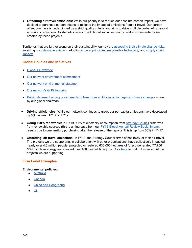● **Offsetting air travel emissions:** While our priority is to reduce our absolute carbon impact, we have decided to purchase carbon offsets to mitigate the impact of emissions from air travel. Our carbon offset purchase is underpinned by a strict quality criteria and aims to drive multiple co-benefits beyond emissions reductions. Co-benefits refers to additional social, economic and environmental value created by these projects.

Territories that are farther along on their sustainability journey are [assessing](https://www.pwc.co.uk/who-we-are/our-purpose/strategy/risk/tcfd.html) their climate change risks, investing in [sustainable](https://skynrg.com/press-releases/pwc-netherlands-signs-5-year-agreement-with-skynrg-to-fly-staff-on-sustainable-aviation-fuel/) aviation, adopting circular [principles,](https://www.pwc.com/gx/en/about/corporate-responsibility/our-stories/netherlands-going-circular.html) [responsible](https://www.pwc.com/gx/en/about/stories-from-across-the-world/a-responsible-approach-to-technology-that-makes-innovation-work.html) technology and [supply](https://www.pwc.co.uk/who-we-are/our-purpose/fair-trusted-business/supply-chain.html) chain [impacts](https://www.pwc.co.uk/who-we-are/our-purpose/fair-trusted-business/supply-chain.html).

#### **Global Policies and Initiatives**

- Global CR [website](http://www.pwc.com/gx/en/corporate-responsibility/strategy.jhtml)
- Our network [environment](https://www.pwc.com/gx/en/about/corporate-responsibility/environmental-stewardship.html) commitment
- Our network [environmental](https://www.pwc.com/gx/en/corporate-responsibility/assets/pwc-network-environmental-statement.pdf) statement
- Our [network's](https://www.pwc.com/gx/en/corporate-responsibility/pdf/pwc-network-environment-community-metric-details-2019.pdf) GHG footprint
- Public statement urging [governments](https://www.weforum.org/agenda/2018/11/alliance-ceos-open-letter-climate-change-action/) to take more ambitious action against climate [change](https://www.weforum.org/agenda/2018/11/alliance-ceos-open-letter-climate-change-action/) signed by our global [chairman](https://www.weforum.org/press/2018/11/business-urges-governments-to-step-up-fight-against-climate-change/)
- **Driving efficiencies:** While our network continues to grow, our per capita emissions have decreased by 8% between FY17 to FY19.
- **Going 100% renewable:** In FY19, 71% of electricity consumption from [Strategy](https://www.pwc.com/gx/en/about/corporate-governance/strategy-council-governance-structure.html) Council firms was from renewable sources (this is an increase from our FY19 Global Annual [Review](https://www.pwc.com/gx/en/about/global-annual-review-2019/impact-on-society.html) Social Impact results due to one territory purchasing after the release of the report). This is up from 55% in FY17.
- **Offsetting air travel emissions:** In FY19, the Strategy Council firms offset 100% of their air travel. The projects we are supporting, in collaboration with other organisations, have collectively impacted nearly over 4.6 million people, protected or restored 636,000 hectares of forest, generated 77,756 MWh of clean energy and created over 480 new full time jobs. Click [here](https://www.pwc.com/gx/en/about/corporate-responsibility/environmental-stewardship/environmental-offset.html) to find out more about the projects we are supporting.

#### **Firm Level Examples**

#### **Environmental policies:**

- [Australia](http://www.pwc.com.au/corporate-responsibility/environment.html)
- [Canada](https://www.pwc.com/ca/en/corporate-responsibility/publications/732674-csr-environmental-policy-en.pdf)
- **●** [China](https://www.pwccn.com/en/corporate-responsibility/environmental-guiding-principles-2017-flyer.pdf) and Hong Kong
- [UK](http://www.pwc.co.uk/en_UK/uk/assets/pdf/environmental-policy-statement-of-intent.pdf)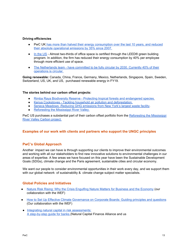#### **Driving efficiencies**

- PwC UK has more than halved their energy [consumption](https://www.pwc.co.uk/who-we-are/our-purpose/low-carbon-circular-business/carbon-emissions.html) over the last 10 years, and reduced their absolute [operational](https://www.pwc.co.uk/who-we-are/our-purpose/low-carbon-circular-business/carbon-emissions.html) emissions by 35% since 2007.
- In [the](https://www.pwc.com/us/en/about-us/corporate-responsibility/environment.html) US Almost two-thirds of office space is certified through the LEED® green building program. In addition, the firm has reduced their energy consumption by 40% per employee through more efficient use of space.
- The [Netherlands](https://www.pwc.nl/en/onze-organisatie/corporate-responsibility/our-circular-ambition.html) team have committed to be fully circular by 2030. Currently 40% of their [operations](https://www.pwc.nl/en/onze-organisatie/corporate-responsibility/our-circular-ambition.html) is circular.

**Going renewable:** Canada, China, France, Germany, Mexico, Netherlands, Singapore, Spain, Sweden, Switzerland, US, UK, and US, purchased renewable energy in FY19.

#### **The stories behind our carbon offset projects:**

- Rimba Raya Biodiversity Reserve Protecting tropical forests and [endangered](https://www.pwc.com/gx/en/about/corporate-responsibility/our-stories/carbon-offset-projects.html) species.
- Kenya Cookstoves Tackling household air pollution and [deforestation](https://www.pwc.com/gx/en/about/corporate-responsibility/our-stories/carbon-offset-project-kenya-cookstoves.html).
- Seneca Meadows [-Reducing](https://www.pwc.com/gx/en/about/corporate-responsibility/our-stories/carbon-offset-project-seneca-meadows.html) GHG emissions from New York's largest waste facility.
- [Reforesting](https://www.arborday.org/carbon/project-mississippi-valley.cfm) the Mississippi River Valley.

PwC US purchases a substantial part of their carbon offset portfolio from the [Reforesting](https://www.pwc.com/us/en/about-us/corporate-responsibility/reporting.html) the Mississippi River Valley [Carbon](https://www.pwc.com/us/en/about-us/corporate-responsibility/reporting.html) project.

#### **Examples of our work with clients and partners who support the UNGC principles**

#### **PwC's Global Approach**

Another impact we can have is through supporting our clients to improve their environmental outcomes and working with all our stakeholders to find new innovative solutions to environmental challenges in our areas of expertise. A few areas we have focused on this year have been the Sustainable Development Goals (SDGs), climate change and the Paris agreement, sustainable cities and circular economy.

We want our people to consider environmental opportunities in their work every day, and we support them with our global network of sustainability & climate change subject matter specialists.

#### **Global Policies and Initiatives**

- **●** Nature Risk Rising: Why the Crisis [Engulfing](http://www3.weforum.org/docs/WEF_New_Nature_Economy_Report_2020.pdf) Nature Matters for Business and the Economy (our collaboration with the WEF)
- How to Set Up Effective Climate [Governance](https://www.weforum.org/agenda/2019/01/a-guide-to-effective-climate-governance-for-company-boards/) on Corporate Boards: Guiding principles and questions (Our collaboration with the WEF)
- Integrating natural capital in risk [assessments:](https://naturalcapital.finance/wp-content/uploads/2019/01/NCFA-Phase-2-Report.pdf) A [step-by-step](https://naturalcapital.finance/wp-content/uploads/2019/01/NCFA-Phase-2-Report.pdf) guide for banks (Natural Capital Finance Alliance and us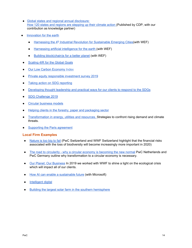- Global states and regional annual [disclosure:](https://www.theclimategroup.org/sites/default/files/global_states_and_regions_annual_disclosure_report_final_web.pdf) How 120 states and regions are [stepping](https://www.theclimategroup.org/sites/default/files/global_states_and_regions_annual_disclosure_report_final_web.pdf) up their climate action (Published by CDP, with our contribution as knowledge partner)
- [Innovation](https://www.pwc.co.uk/services/sustainability-climate-change/insights/innovation-for-earth.html) for the earth
	- [Harnessing](https://www.pwc.com/gx/en/services/sustainability/publications/sustainable-emerging-cities.html) [th](https://www.pwc.com/gx/en/services/sustainability/publications/sustainable-emerging-cities.html)e 4<sup>th</sup> Industrial Revolution for [Sustainable](https://www.pwc.com/gx/en/services/sustainability/publications/sustainable-emerging-cities.html) Emerging Cities(with WEF)
	- [Harnessing](https://www.pwc.com/gx/en/services/sustainability/publications/ai-for-the-earth.html) artificial intelligence for the earth (with WEF)
	- Building [block\(chain\)s](https://www.pwc.com/gx/en/services/sustainability/building-blockchains-for-the-earth.html) for a better planet (with WEF)
- [Scaling](https://www.pwc.com/gx/en/services/sustainability/publications/accelerating-sustainable-development.html) 4IR for the Global Goals
- Our Low Carbon [Economy](http://www.pwc.co.uk/lowcarboneconomy) Index
- Private equity [responsible](https://www.pwc.com/responsibleinvestment) investment survey 2019
- Taking action on SDG [reporting](https://www.pwc.com/gx/en/services/sustainability/sustainable-development-goals/business-reporting-on-the-sdgs.html)
- [Developing](http://www.pwc.com/gx/en/services/sustainability/sustainable-development-goals.html) thought leadership and practical ways for our clients to respond to the SDGs
- SDG [Challenge](https://www.pwc.com/gx/en/services/sustainability/sustainable-development-goals/sdg-challenge-2019.html) 2019
- Circular [business](https://www.pwc.com/gx/en/about/stories-from-across-the-world/leading-the-transition-to-the-circular-economy.html) models
- Helping clients in the forestry, paper and [packaging](http://www.pwc.com/gx/en/industries/forest-paper-packaging.html) sector
- [Transformation](https://www.pwc.com/eur-transformation) in energy, utilities and resources. Strategies to confront rising demand and climate threats.
- [Supporting](http://www.pwc.com/gx/en/about/global-annual-review-2016/what-we-do/supporting-the-paris-agreement-and-the-circular-economy.html) the Paris agreement

#### **Local Firm Examples**

- [Nature](https://www.pwc.ch/en/insights/regulation/nature-is-too-big-to-fail.html) is too big to fail (PwC Switzerland and WWF Switzerland highlight that the financial risks associated with the loss of biodiversity will become increasingly more important in 2020)
- The road to circularity why a circular economy is [becoming](https://www.pwc.nl/en/assets/documents/pwc-the-road-to-circularity-en.pdf) the new normal PwC Netherlands and PwC Germany outline why transformation to a circular economy is necessary.
- Our Planet: Our [Business](https://www.pwc.co.uk/who-we-are/our-purpose/case-studies/our-planet-our-business-at-pwc.html) In 2019 we worked with WWF to shine a light on the ecological crisis which will impact all of our clients.
- How AI can enable a [sustainable](https://www.pwc.co.uk/services/sustainability-climate-change/insights/how-ai-future-can-enable-sustainable-future.html) future (with Microsoft)
- [Intelligent](https://www.pwc.co.uk/issues/intelligent-digital.html) digital
- Building the largest solar farm in the southern [hemisphere](https://www.pwc.com/gx/en/about/stories-from-across-the-world/building-the-largest-sola-farm-in-the-southern-hemisphere.html)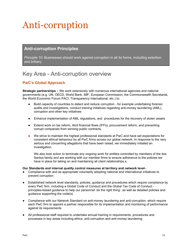## Anti-corruption

### **Anti-corruption Principles**

*Principle 10*: Businesses should work against corruption in all its forms, including extortion and bribery

## Key Area - Anti-corruption overview

#### **PwC's Global Approach**

**Strategic partnerships** – We work extensively with numerous international agencies and national governments (e.g. UN, OECD, World Bank, IMF, European Commission, the Commonwealth Secretariat, the World Economic Forum PACI, Transparency International, etc.) to:

- Build capacity of countries to detect and reduce corruption for example undertaking forensic audits and investigations, conduct training initiatives regarding anti-money laundering (AML), corruption and other key initiatives
- Enhance implementation of AML regulations, and procedures for the recovery of stolen assets
- **●** Extend work on tax reform, illicit financial flows (IFFs), procurement reform, and preventing corrupt companies from winning public contracts.
- We strive to maintain the highest professional standards at PwC and have set expectations for consistent ethical behaviour by all PwC firms across our global network. In response to the very serious and concerning allegations that have been raised, we immediately initiated an investigation.

We also took action to terminate any ongoing work for entities controlled by members of the dos Santos family and are working with our member firms to ensure adherence to the policies we have in place for taking on and maintaining all client relationships.s.

#### **Our Standards and internal quality control measures at territory and network level**–

- Compliance with and as appropriate voluntarily adopting national and international initiatives to prevent corruption
- Established network level standards, policies, guidance and procedures which require compliance by every PwC firm, including a Global Code of Conduct and the Global Tax Code of Conduct principles-based guidance to help our personnel 'do the right thing', as well as detailed policies and guidance supporting the code(s)
- Compliance with our Network Standard on anti-money laundering and anti-corruption, which require each PwC firm to appoint a partner responsible for its implementation and monitoring of performance against its requirements
- All professional staff required to undertake annual training in requirements, procedures and processes in key areas including ethics, anti-corruption and anti-money laundering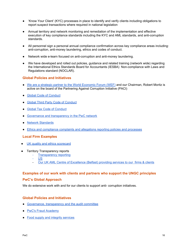- 'Know Your Client' (KYC) processes in place to identify and verify clients including obligations to report suspect transactions where required in national legislation
- Annual territory and network monitoring and remediation of the implementation and effective execution of key compliance standards including the KYC and AML standards, and anti-corruption standards.
- All personnel sign a personal annual compliance confirmation across key compliance areas including: anti-corruption, anti-money laundering, ethics and codes of conduct.
- Network wide e-learn focused on anti-corruption and anti-money laundering.
- We have developed and rolled out policies, guidance and related training (network wide) regarding the International Ethics Standards Board for Accountants (IESBA) Non-compliance with Laws and Regulations standard (NOCLAR).

#### **Global Policies and Initiatives**

- We are a strategic partner to the World [Economic](https://www.weforum.org/communities/partnering-against-corruption-initiative) Forum (WEF) and our Chairman, Robert Moritz is active on the board of the Partnering Against Corruption Initiative (PACI)
- Global Code of [Conduct](http://www.pwc.com/gx/en/about/ethics-business-conduct.html)
- Global Third Party Code of [Conduct](https://www.pwc.com/gx/en/about/ethics-business-conduct/global-third-party-code-of-conduct.html)
- Global Tax Code of [Conduct](https://www.pwc.com/gx/en/services/tax/code-of-conduct.html)
- Governance and [transparency](http://www.pwc.com/gx/en/corporate-governance/index.jhtml) in the PwC network
- Network [Standards](https://www.pwc.com/gx/en/about/global-annual-review-2018/organisation-and-structure.html)
- Ethics and [compliance](https://www.pwc.com/gx/en/about/ethics-business-conduct.html) complaints and allegations reporting policies and processes

#### **Local Firm Examples**

- UK quality and ethics [scorecard](http://www.pwc.co.uk/corporate-sustainability/scorecard.jhtml)
- **Territory Transparency reports** 
	- **[Transparency](https://www.pwc.com/gx/en/about/global-regulatory-affairs/audit/eu-transparency-reporting.html) reporting**
	- [US](https://www.pwc.com/us/en/about-us/pwc-llp-transparency-report.html).
	- Our UK AML Centre of Excellence (Belfast) providing services to our firms & clients

#### **Examples of our work with clients and partners who support the UNGC principles**

#### **PwC's Global Approach**

We do extensive work with and for our clients to support anti- corruption initiatives.

#### **Global Policies and Initiatives**

- Governance, [transparency](http://www.pwc.com/gx/en/audit-services/publications/regulatory-debate/governance-transparency.jhtml) and the audit committee
- PwC's Fraud [Academy](http://www.pwc.co.uk/fraud-academy.html)
- Food supply and integrity [services](http://www.pwc.com/gx/en/services/food-supply-integrity-services/publications/food-fraud.html)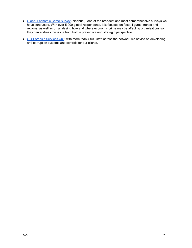- Global [Economic](http://www.pwc.com/gx/en/economic-crime-survey/index.jhtml) Crime Survey (biannual)- one of the broadest and most comprehensive surveys we have conducted. With over 5,000 global respondents, it is focused on facts, figures, trends and regions, as well as on analysing how and where economic crime may be affecting organisations so they can address the issue from both a preventive and strategic perspective.
- Our Forensic [Services](https://www.pwc.com/gx/en/services/advisory/forensics.html) Unit: with more than 4,000 staff across the network, we advise on developing anti-corruption systems and controls for our clients.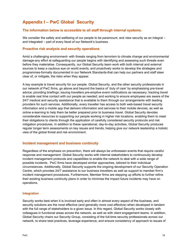### **Appendix I – PwC Global Security**

#### **The information below is accessible to all staff through internal systems.**

We consider the safety and wellbeing of our people to be paramount, and view security as an integral – and integrated – part of every facet of our Network's business.

#### **Proactive risk analysis and security operations**

Amid a challenging environment- with threats ranging from terrorism to climate change and environmental damage-any effort at safeguarding our people begins with identifying and assessing such threats even before they materialise. Consequently, our Global Security team work with both internal and external sources to keep a cautious eye on world events, and proactively works to develop the strategies and programmes-formally documented in our Network Standards-that can help our partners and staff steer clear of, or mitigate, the risks when they appear.

A key example is travel security for our people. Global Security, and the other security professionals in our network of PwC firms, go above and beyond the basics of 'duty of care' by emphasising pre-travel advice; providing briefings; issuing travellers pre-emptive event notifications as necessary; tracking travel to enable real time contact with our people as needed; and working to ensure employees are aware of the 24/7 medical and security assistance that is available to them through our arrangements with leading providers for such services. Additionally, every traveller has access to both web-based travel security information and a mobile app that delivers information and services to their mobile devices, as well as online e-learning to help them be better prepared prior to business travel. Global Security devotes considerable resources to supporting our people working in higher risk locations, enabling them to meet their obligations to clients through the application of carefully considered security protocols and risk mitigation procedures. In addition to these operational, day-to-day activities, Global Security produces regular longer term assessments on key issues and trends, helping give our network leadership a holistic view of the global threat and risk environment.

#### **Incident management and business continuity**

Regardless of the emphasis on prevention, there will always be unforeseen events that require careful response and management. Global Security works with internal stakeholders to continuously develop incident management protocols and capabilities to enable the network to deal with a wide range of possible incidents. PwC firms have developed similar approaches, tailored to their individual circumstances. Additionally, Global Security supports the ongoing development of our Security Operation Centre, which provides 24/7 assistance to our business travellers as well as support to member firm's incident management procedures. Furthermore, Member firms are stepping up efforts to further refine their existing business continuity plans in order to minimise the impact future incidents may have on operations.

#### **Integration**

Security works best when it is involved early and often in almost every aspect of the business, and security solutions are the most effective (and generally more cost effective) when developed in tandem with the full range of stakeholders to a given issue. In this regard, Global Security works closely with colleagues in functional areas across the network, as well as with client engagement teams. In addition, Global Security chairs our Security Group, consisting of the full-time security professionals across our network, to share best practices, leverage experience, and ensure consistency of approach to issues of